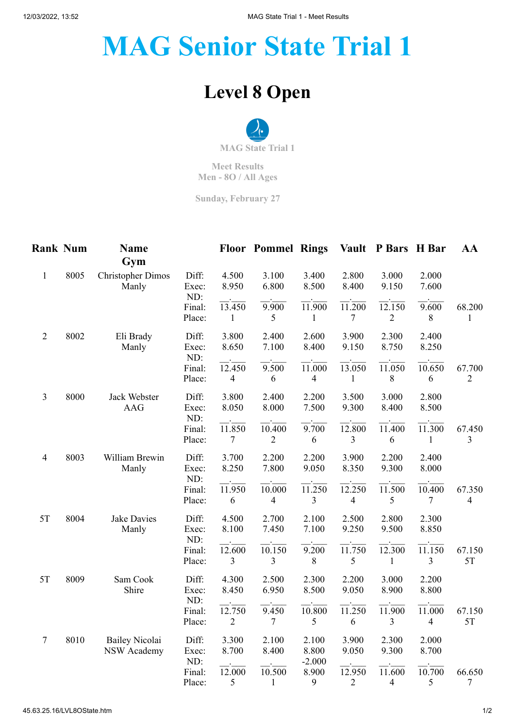## **MAG Senior State Trial 1**

## **Level 8 Open**



**Meet Results Men - 8O / All Ages**

**Sunday, February 27**

| <b>Rank Num</b> |      | <b>Name</b><br>Gym                          |                                 |                                   | <b>Floor Pommel Rings</b> |                            | <b>Vault</b>             | <b>P</b> Bars H Bar                 |                          | AA                       |
|-----------------|------|---------------------------------------------|---------------------------------|-----------------------------------|---------------------------|----------------------------|--------------------------|-------------------------------------|--------------------------|--------------------------|
| $\mathbf{1}$    | 8005 | <b>Christopher Dimos</b><br>Manly           | Diff:<br>Exec:<br>ND:           | 4.500<br>8.950                    | 3.100<br>6.800            | 3.400<br>8.500             | 2.800<br>8.400           | 3.000<br>9.150                      | 2.000<br>7.600           |                          |
|                 |      |                                             | Final:<br>Place:                | 13.450<br>1                       | 9.900<br>5                | 11.900<br>$\mathbf{1}$     | 11.200<br>7              | 12.150<br>$\overline{2}$            | 9.600<br>$\,8\,$         | 68.200<br>1              |
| $\overline{2}$  | 8002 | Eli Brady<br>Manly                          | Diff:<br>Exec:                  | 3.800<br>8.650                    | 2.400<br>7.100            | 2.600<br>8.400             | 3.900<br>9.150           | 2.300<br>8.750                      | 2.400<br>8.250           |                          |
|                 |      |                                             | ND:<br>Final:<br>Place:         | 12.450<br>$\overline{4}$          | 9.500<br>6                | 11.000<br>$\overline{4}$   | 13.050<br>1              | 11.050<br>8                         | 10.650<br>6              | 67.700<br>$\overline{2}$ |
| 3               | 8000 | Jack Webster<br><b>AAG</b>                  | Diff:<br>Exec:                  | 3.800<br>8.050                    | 2.400<br>8.000            | 2.200<br>7.500             | 3.500<br>9.300           | 3.000<br>8.400                      | 2.800<br>8.500           |                          |
|                 |      |                                             | ND:<br>Final:<br>Place:         | 11.850<br>7                       | 10.400<br>$\overline{2}$  | 9.700<br>6                 | 12.800<br>3              | 11.400<br>6                         | 11.300<br>1              | 67.450<br>3              |
| $\overline{4}$  | 8003 | William Brewin<br>Manly                     | Diff:<br>Exec:<br>ND:<br>Final: | 3.700<br>8.250<br>11.950          | 2.200<br>7.800<br>10.000  | 2.200<br>9.050<br>11.250   | 3.900<br>8.350<br>12.250 | 2.200<br>9.300<br>11.500            | 2.400<br>8.000<br>10.400 | 67.350                   |
|                 |      |                                             | Place:                          | 6                                 | $\overline{4}$            | 3                          | $\overline{4}$           | 5                                   | 7                        | $\overline{4}$           |
| 5T              | 8004 | <b>Jake Davies</b><br>Manly                 | Diff:<br>Exec:                  | 4.500<br>8.100                    | 2.700<br>7.450            | 2.100<br>7.100             | 2.500<br>9.250           | 2.800<br>9.500                      | 2.300<br>8.850           |                          |
|                 |      |                                             | ND:<br>Final:<br>Place:         | 12.600<br>$\overline{\mathbf{3}}$ | 10.150<br>$\mathfrak{Z}$  | 9.200<br>$\,8\,$           | $\overline{11.750}$<br>5 | $\overline{12.300}$<br>$\mathbf{1}$ | 11.150<br>3              | 67.150<br>5T             |
| 5T              | 8009 | Sam Cook<br>Shire                           | Diff:<br>Exec:                  | 4.300<br>8.450                    | 2.500<br>6.950            | 2.300<br>8.500             | 2.200<br>9.050           | 3.000<br>8.900                      | 2.200<br>8.800           |                          |
|                 |      |                                             | ND:<br>Final:<br>Place:         | 12.750<br>$\overline{2}$          | 9.450<br>$\overline{7}$   | 10.800<br>5                | $\overline{11.250}$<br>6 | 11.900<br>3                         | 11.000<br>4              | 67.150<br>5T             |
| $\overline{7}$  | 8010 | <b>Bailey Nicolai</b><br><b>NSW Academy</b> | Diff:<br>Exec:<br>ND:           | 3.300<br>8.700                    | 2.100<br>8.400            | 2.100<br>8.800<br>$-2.000$ | 3.900<br>9.050           | 2.300<br>9.300                      | 2.000<br>8.700           |                          |
|                 |      |                                             | Final:<br>Place:                | 12.000<br>5                       | 10.500<br>$\mathbf{1}$    | 8.900<br>9                 | 12.950<br>$\overline{2}$ | 11.600<br>4                         | 10.700<br>5              | 66.650<br>7              |